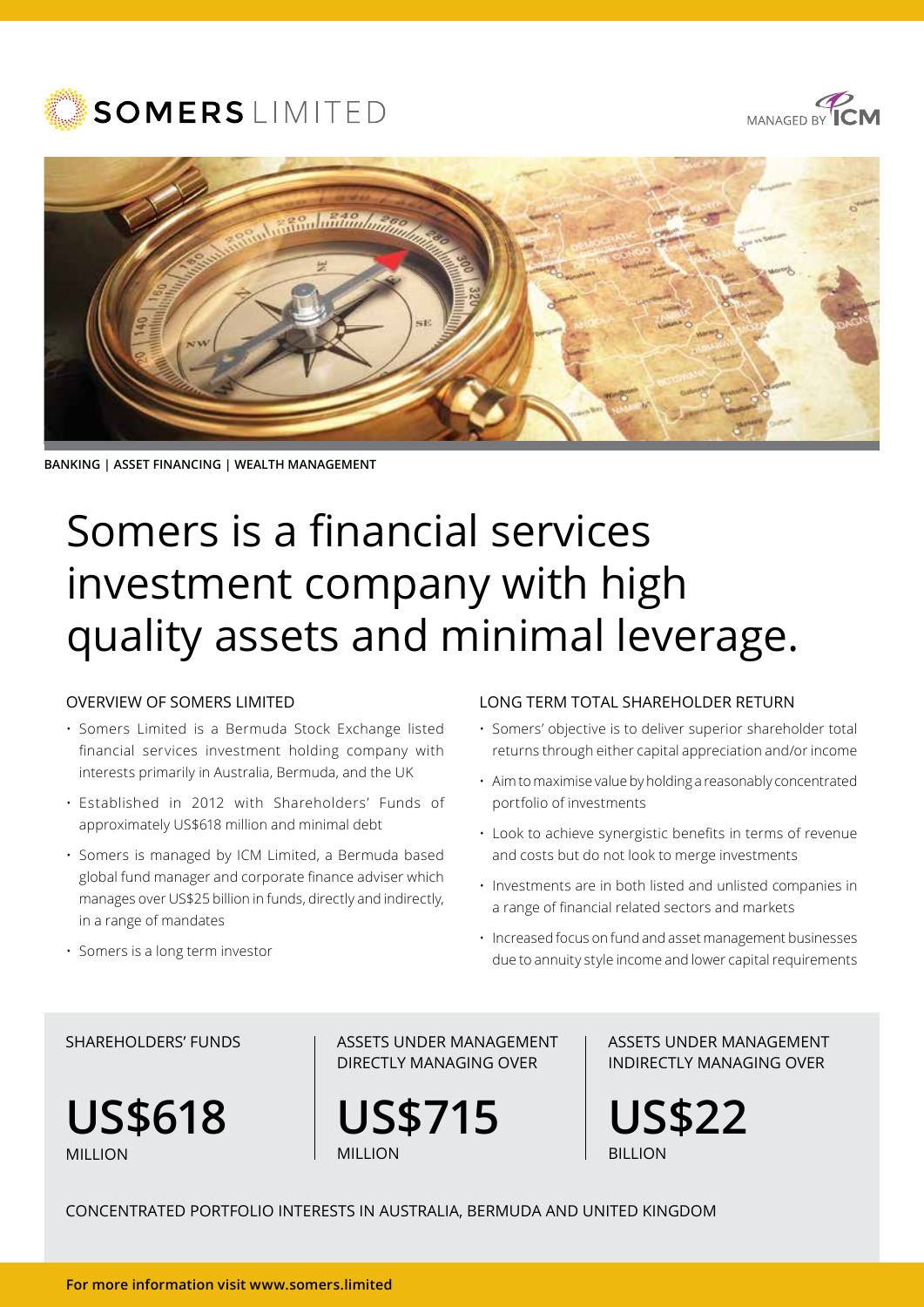





**BANKING | ASSET FINANCING | WEALTH MANAGEMENT**

# Somers is a financial services investment company with high quality assets and minimal leverage.

#### OVERVIEW OF SOMERS LIMITED

- Somers Limited is a Bermuda Stock Exchange listed financial services investment holding company with interests primarily in Australia, Bermuda, and the UK
- Established in 2012 with Shareholders' Funds of approximately US\$618 million and minimal debt
- Somers is managed by ICM Limited, a Bermuda based global fund manager and corporate finance adviser which manages over US\$25 billion in funds, directly and indirectly, in a range of mandates

#### LONG TERM TOTAL SHAREHOLDER RETURN

- Somers' objective is to deliver superior shareholder total returns through either capital appreciation and/or income
- Aim to maximise value by holding a reasonably concentrated portfolio of investments
- Look to achieve synergistic benefits in terms of revenue and costs but do not look to merge investments
- Investments are in both listed and unlisted companies in a range of financial related sectors and markets
- Increased focus on fund and asset management businesses due to annuity style income and lower capital requirements

#### • Somers is a long term investor

#### SHARFHOLDERS' FUNDS

**US\$618**  MILLION

ASSETS UNDER MANAGEMENT DIRECTLY MANAGING OVER

**US\$715 MILLION** 

ASSETS UNDER MANAGEMENT INDIRECTLY MANAGING OVER

**US\$22 BILLION** 

CONCENTRATED PORTFOLIO INTERESTS IN AUSTRALIA, BERMUDA AND UNITED KINGDOM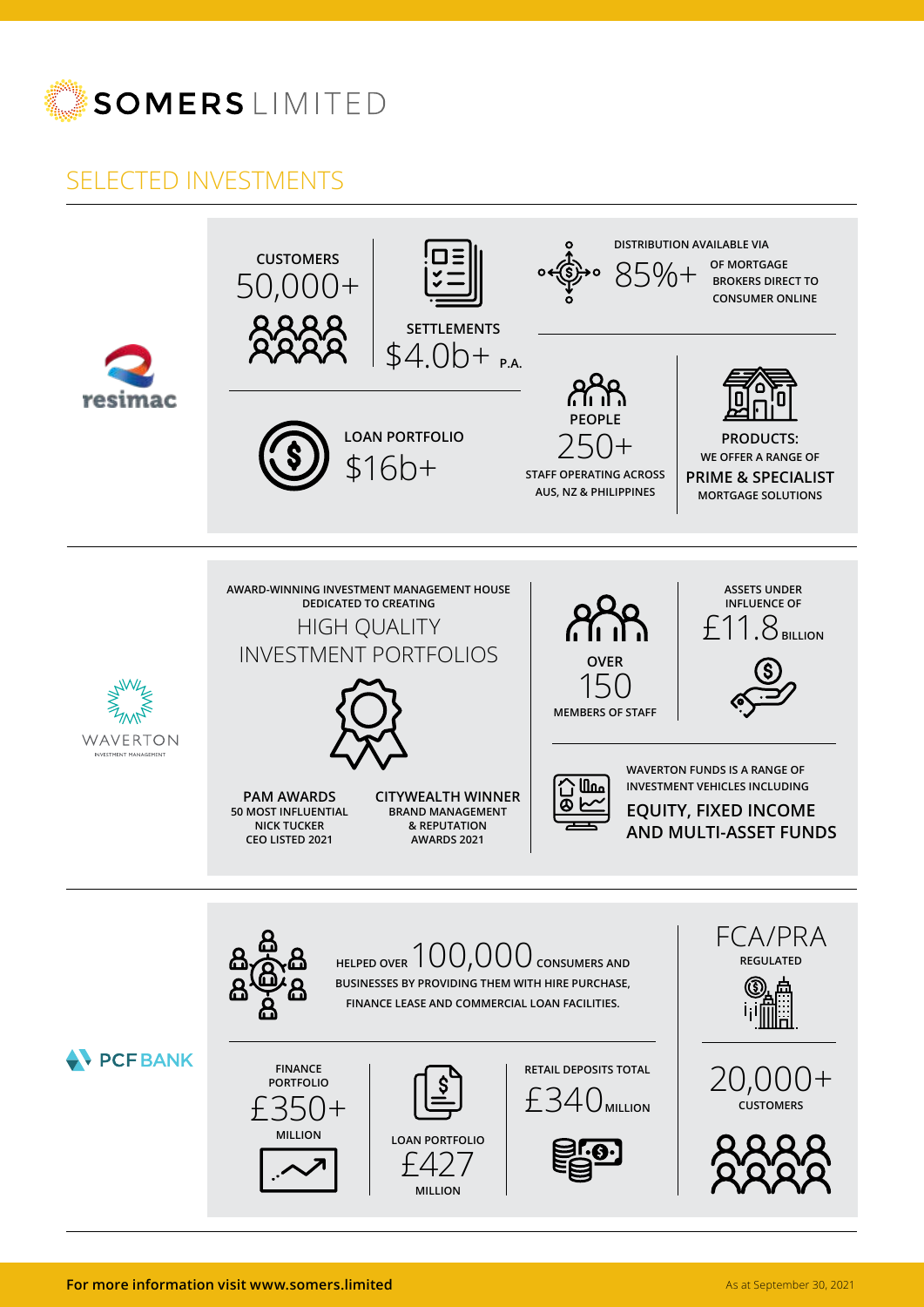

### SELECTED INVESTMENTS

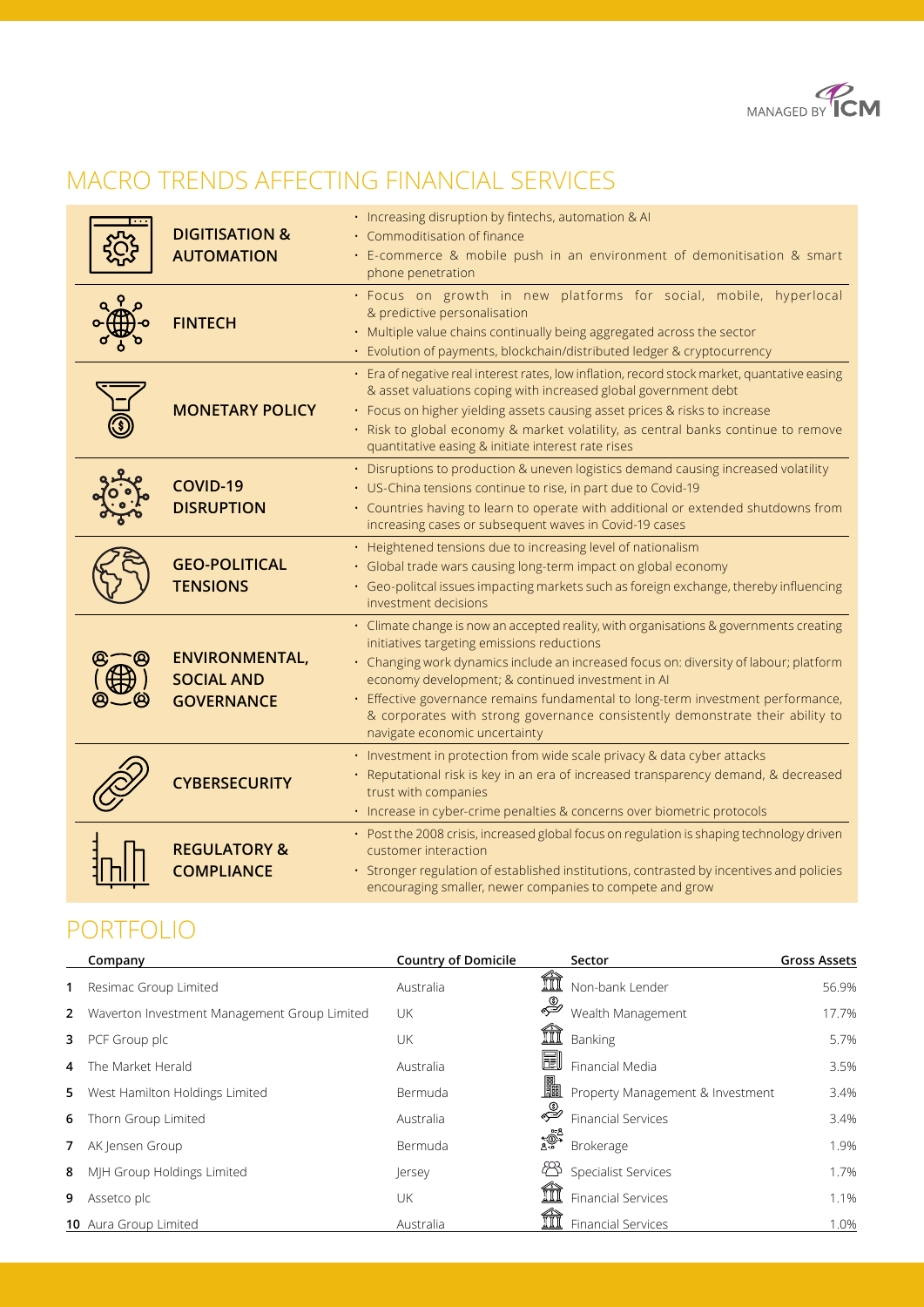

### MACRO TRENDS AFFECTING FINANCIAL SERVICES

| <b>DIGITISATION &amp;</b><br><b>AUTOMATION</b>                  | · Increasing disruption by fintechs, automation & Al<br>• Commoditisation of finance<br>· E-commerce & mobile push in an environment of demonitisation & smart<br>phone penetration                                                                                                                                                                                                                                                                                                     |  |  |  |  |
|-----------------------------------------------------------------|-----------------------------------------------------------------------------------------------------------------------------------------------------------------------------------------------------------------------------------------------------------------------------------------------------------------------------------------------------------------------------------------------------------------------------------------------------------------------------------------|--|--|--|--|
| <b>FINTECH</b>                                                  | · Focus on growth in new platforms for social, mobile, hyperlocal<br>& predictive personalisation<br>· Multiple value chains continually being aggregated across the sector<br>· Evolution of payments, blockchain/distributed ledger & cryptocurrency                                                                                                                                                                                                                                  |  |  |  |  |
| <b>MONETARY POLICY</b>                                          | · Era of negative real interest rates, low inflation, record stock market, quantative easing<br>& asset valuations coping with increased global government debt<br>• Focus on higher yielding assets causing asset prices & risks to increase<br>• Risk to global economy & market volatility, as central banks continue to remove<br>quantitative easing & initiate interest rate rises                                                                                                |  |  |  |  |
| COVID-19<br><b>DISRUPTION</b>                                   | • Disruptions to production & uneven logistics demand causing increased volatility<br>• US-China tensions continue to rise, in part due to Covid-19<br>• Countries having to learn to operate with additional or extended shutdowns from<br>increasing cases or subsequent waves in Covid-19 cases                                                                                                                                                                                      |  |  |  |  |
| <b>GEO-POLITICAL</b><br><b>TENSIONS</b>                         | • Heightened tensions due to increasing level of nationalism<br>· Global trade wars causing long-term impact on global economy<br>· Geo-politcal issues impacting markets such as foreign exchange, thereby influencing<br>investment decisions                                                                                                                                                                                                                                         |  |  |  |  |
| <b>ENVIRONMENTAL,</b><br><b>SOCIAL AND</b><br><b>GOVERNANCE</b> | · Climate change is now an accepted reality, with organisations & governments creating<br>initiatives targeting emissions reductions<br>• Changing work dynamics include an increased focus on: diversity of labour; platform<br>economy development; & continued investment in Al<br>· Effective governance remains fundamental to long-term investment performance,<br>& corporates with strong governance consistently demonstrate their ability to<br>navigate economic uncertainty |  |  |  |  |
| <b>CYBERSECURITY</b>                                            | · Investment in protection from wide scale privacy & data cyber attacks<br>· Reputational risk is key in an era of increased transparency demand, & decreased<br>trust with companies<br>· Increase in cyber-crime penalties & concerns over biometric protocols                                                                                                                                                                                                                        |  |  |  |  |
| <b>REGULATORY &amp;</b><br><b>COMPLIANCE</b>                    | • Post the 2008 crisis, increased global focus on regulation is shaping technology driven<br>customer interaction<br>· Stronger regulation of established institutions, contrasted by incentives and policies<br>encouraging smaller, newer companies to compete and grow                                                                                                                                                                                                               |  |  |  |  |

### PORTFOLIO

|   | Company                                        | <b>Country of Domicile</b> |          | Sector                           | <b>Gross Assets</b> |
|---|------------------------------------------------|----------------------------|----------|----------------------------------|---------------------|
| 1 | Resimac Group Limited                          | Australia                  |          | Non-bank Lender                  | 56.9%               |
|   | 2 Waverton Investment Management Group Limited | UK                         | ♣        | Wealth Management                | 17.7%               |
|   | 3 PCF Group plc                                | UK                         |          | Banking                          | 5.7%                |
| 4 | The Market Herald                              | Australia                  | <u>H</u> | Financial Media                  | 3.5%                |
|   | 5 West Hamilton Holdings Limited               | Bermuda                    | 鼺        | Property Management & Investment | 3.4%                |
| 6 | Thorn Group Limited                            | Australia                  | ♣        | <b>Financial Services</b>        | 3.4%                |
|   | 7 AK Jensen Group                              | Bermuda                    | ಕ್ಷ್ಮಿಕ್ | Brokerage                        | 1.9%                |
| 8 | MIH Group Holdings Limited                     | lersey                     |          | Specialist Services              | 1.7%                |
|   | <b>9</b> Assetco plc                           | UK                         |          | <b>Financial Services</b>        | 1.1%                |
|   | <b>10</b> Aura Group Limited                   | Australia                  |          | <b>Financial Services</b>        | 1.0%                |